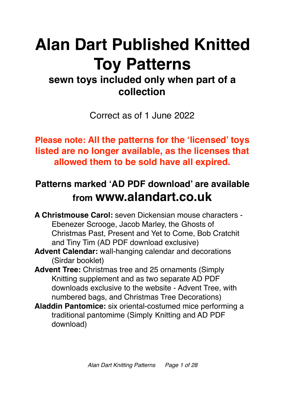# **Alan Dart Published Knitted Toy Patterns**

# **sewn toys included only when part of a collection**

Correct as of 1 June 2022

**Please note: All the patterns for the 'licensed' toys listed are no longer available, as the licenses that allowed them to be sold have all expired.** 

# **Patterns marked 'AD PDF download' are available from www.alandart.co.uk**

**A Christmouse Carol:** seven Dickensian mouse characters - Ebenezer Scrooge, Jacob Marley, the Ghosts of Christmas Past, Present and Yet to Come, Bob Cratchit and Tiny Tim (AD PDF download exclusive)

- **Advent Calendar:** wall-hanging calendar and decorations (Sirdar booklet)
- **Advent Tree:** Christmas tree and 25 ornaments (Simply Knitting supplement and as two separate AD PDF downloads exclusive to the website - Advent Tree, with numbered bags, and Christmas Tree Decorations)
- **Aladdin Pantomice:** six oriental-costumed mice performing a traditional pantomime (Simply Knitting and AD PDF download)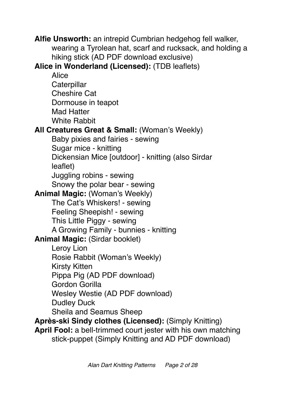**Alfie Unsworth:** an intrepid Cumbrian hedgehog fell walker, wearing a Tyrolean hat, scarf and rucksack, and holding a hiking stick (AD PDF download exclusive)

**Alice in Wonderland (Licensed):** (TDB leaflets)

Alice **Caterpillar** Cheshire Cat Dormouse in teapot Mad Hatter White Rabbit **All Creatures Great & Small:** (Woman's Weekly) Baby pixies and fairies - sewing Sugar mice - knitting Dickensian Mice [outdoor] - knitting (also Sirdar leaflet) Juggling robins - sewing Snowy the polar bear - sewing **Animal Magic:** (Woman's Weekly) The Cat's Whiskers! - sewing Feeling Sheepish! - sewing This Little Piggy - sewing A Growing Family - bunnies - knitting **Animal Magic:** (Sirdar booklet) Leroy Lion Rosie Rabbit (Woman's Weekly) Kirsty Kitten Pippa Pig (AD PDF download) Gordon Gorilla Wesley Westie (AD PDF download) Dudley Duck Sheila and Seamus Sheep **Après-ski Sindy clothes (Licensed):** (Simply Knitting) **April Fool:** a bell-trimmed court jester with his own matching stick-puppet (Simply Knitting and AD PDF download)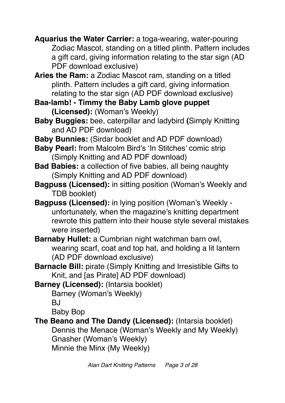**Aquarius the Water Carrier:** a toga-wearing, water-pouring Zodiac Mascot, standing on a titled plinth. Pattern includes a gift card, giving information relating to the star sign (AD PDF download exclusive)

**Aries the Ram:** a Zodiac Mascot ram, standing on a titled plinth. Pattern includes a gift card, giving information relating to the star sign (AD PDF download exclusive)

**Baa-lamb! - Timmy the Baby Lamb glove puppet (Licensed):** (Woman's Weekly)

**Baby Buggies:** bee, caterpillar and ladybird **(**Simply Knitting and AD PDF download)

**Baby Bunnies:** (Sirdar booklet and AD PDF download)

**Baby Pearl:** from Malcolm Bird's 'In Stitches' comic strip (Simply Knitting and AD PDF download)

**Bad Babies:** a collection of five babies, all being naughty (Simply Knitting and AD PDF download)

**Bagpuss (Licensed):** in sitting position (Woman's Weekly and TDB booklet)

**Bagpuss (Licensed):** in lying position (Woman's Weekly unfortunately, when the magazine's knitting department rewrote this pattern into their house style several mistakes were inserted)

**Barnaby Hullet:** a Cumbrian night watchman barn owl, wearing scarf, coat and top hat, and holding a lit lantern (AD PDF download exclusive)

**Barnacle Bill:** pirate (Simply Knitting and Irresistible Gifts to Knit, and [as Pirate] AD PDF download)

**Barney (Licensed):** (Intarsia booklet)

Barney (Woman's Weekly)

**BJ** 

Baby Bop

**The Beano and The Dandy (Licensed):** (Intarsia booklet) Dennis the Menace (Woman's Weekly and My Weekly) Gnasher (Woman's Weekly) Minnie the Minx (My Weekly)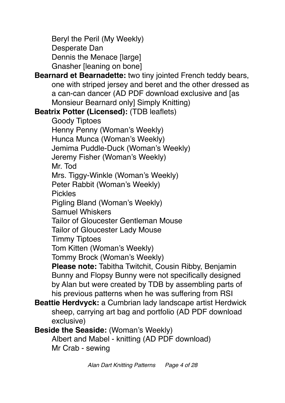Beryl the Peril (My Weekly) Desperate Dan Dennis the Menace [large] Gnasher [leaning on bone]

**Bearnard et Bearnadette:** two tiny jointed French teddy bears, one with striped jersey and beret and the other dressed as a can-can dancer (AD PDF download exclusive and [as Monsieur Bearnard only] Simply Knitting)

**Beatrix Potter (Licensed):** (TDB leaflets)

Goody Tiptoes Henny Penny (Woman's Weekly) Hunca Munca (Woman's Weekly) Jemima Puddle-Duck (Woman's Weekly) Jeremy Fisher (Woman's Weekly) Mr. Tod Mrs. Tiggy-Winkle (Woman's Weekly) Peter Rabbit (Woman's Weekly) Pickles Pigling Bland (Woman's Weekly) Samuel Whiskers Tailor of Gloucester Gentleman Mouse Tailor of Gloucester Lady Mouse Timmy Tiptoes Tom Kitten (Woman's Weekly) Tommy Brock (Woman's Weekly) **Please note:** Tabitha Twitchit, Cousin Ribby, Benjamin Bunny and Flopsy Bunny were not specifically designed by Alan but were created by TDB by assembling parts of his previous patterns when he was suffering from RSI

- **Beattie Herdvyck:** a Cumbrian lady landscape artist Herdwick sheep, carrying art bag and portfolio (AD PDF download exclusive)
- **Beside the Seaside:** (Woman's Weekly)

Albert and Mabel - knitting (AD PDF download) Mr Crab - sewing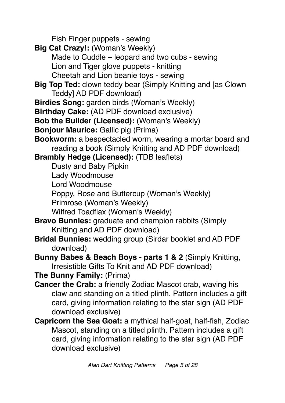Fish Finger puppets - sewing

**Big Cat Crazy!:** (Woman's Weekly) Made to Cuddle – leopard and two cubs - sewing Lion and Tiger glove puppets - knitting Cheetah and Lion beanie toys - sewing **Big Top Ted:** clown teddy bear (Simply Knitting and [as Clown Teddy] AD PDF download) **Birdies Song:** garden birds (Woman's Weekly) **Birthday Cake:** (AD PDF download exclusive) **Bob the Builder (Licensed):** (Woman's Weekly) **Bonjour Maurice:** Gallic pig (Prima) **Bookworm:** a bespectacled worm, wearing a mortar board and reading a book (Simply Knitting and AD PDF download) **Brambly Hedge (Licensed):** (TDB leaflets) Dusty and Baby Pipkin Lady Woodmouse Lord Woodmouse Poppy, Rose and Buttercup (Woman's Weekly) Primrose (Woman's Weekly) Wilfred Toadflax (Woman's Weekly) **Bravo Bunnies:** graduate and champion rabbits (Simply Knitting and AD PDF download) **Bridal Bunnies:** wedding group (Sirdar booklet and AD PDF download) **Bunny Babes & Beach Boys - parts 1 & 2** (Simply Knitting, Irresistible Gifts To Knit and AD PDF download) **The Bunny Family:** (Prima) **Cancer the Crab:** a friendly Zodiac Mascot crab, waving his claw and standing on a titled plinth. Pattern includes a gift card, giving information relating to the star sign (AD PDF download exclusive) **Capricorn the Sea Goat:** a mythical half-goat, half-fish, Zodiac Mascot, standing on a titled plinth. Pattern includes a gift card, giving information relating to the star sign (AD PDF download exclusive)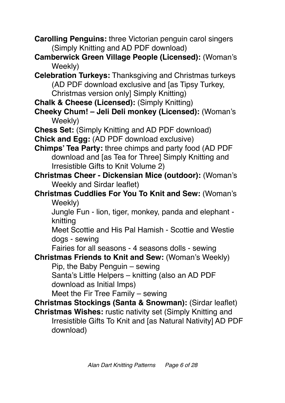- **Carolling Penguins:** three Victorian penguin carol singers (Simply Knitting and AD PDF download)
- **Camberwick Green Village People (Licensed):** (Woman's Weekly)
- **Celebration Turkeys:** Thanksgiving and Christmas turkeys (AD PDF download exclusive and [as Tipsy Turkey, Christmas version only] Simply Knitting)
- **Chalk & Cheese (Licensed):** (Simply Knitting)
- **Cheeky Chum! Jeli Deli monkey (Licensed):** (Woman's Weekly)
- **Chess Set:** (Simply Knitting and AD PDF download)
- **Chick and Egg:** (AD PDF download exclusive)
- **Chimps' Tea Party:** three chimps and party food (AD PDF download and [as Tea for Three] Simply Knitting and Irresistible Gifts to Knit Volume 2)
- **Christmas Cheer Dickensian Mice (outdoor):** (Woman's Weekly and Sirdar leaflet)
- **Christmas Cuddlies For You To Knit and Sew:** (Woman's Weekly)
	- Jungle Fun lion, tiger, monkey, panda and elephant knitting
	- Meet Scottie and His Pal Hamish Scottie and Westie dogs - sewing
	- Fairies for all seasons 4 seasons dolls sewing
- **Christmas Friends to Knit and Sew:** (Woman's Weekly)
	- Pip, the Baby Penguin sewing
	- Santa's Little Helpers knitting (also an AD PDF download as Initial Imps)
	- Meet the Fir Tree Family sewing
- **Christmas Stockings (Santa & Snowman):** (Sirdar leaflet) **Christmas Wishes:** rustic nativity set (Simply Knitting and Irresistible Gifts To Knit and [as Natural Nativity] AD PDF download)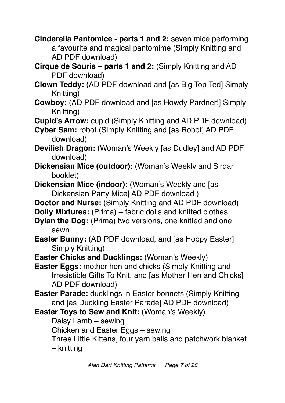**Cinderella Pantomice - parts 1 and 2:** seven mice performing a favourite and magical pantomime (Simply Knitting and AD PDF download)

**Cirque de Souris – parts 1 and 2:** (Simply Knitting and AD PDF download)

**Clown Teddy:** (AD PDF download and [as Big Top Ted] Simply Knitting)

**Cowboy:** (AD PDF download and [as Howdy Pardner!] Simply Knitting)

**Cupid's Arrow:** cupid (Simply Knitting and AD PDF download)

**Cyber Sam:** robot (Simply Knitting and [as Robot] AD PDF download)

**Devilish Dragon:** (Woman's Weekly [as Dudley] and AD PDF download)

**Dickensian Mice (outdoor):** (Woman's Weekly and Sirdar booklet)

**Dickensian Mice (indoor): (Woman's Weekly and [as** Dickensian Party Mice] AD PDF download )

**Doctor and Nurse:** (Simply Knitting and AD PDF download)

**Dolly Mixtures:** (Prima) – fabric dolls and knitted clothes

- **Dylan the Dog:** (Prima) two versions, one knitted and one sewn
- **Easter Bunny:** (AD PDF download, and [as Hoppy Easter] Simply Knitting)
- **Easter Chicks and Ducklings:** (Woman's Weekly)

**Easter Eggs:** mother hen and chicks (Simply Knitting and Irresistible Gifts To Knit, and [as Mother Hen and Chicks] AD PDF download)

- **Easter Parade:** ducklings in Easter bonnets (Simply Knitting and [as Duckling Easter Parade] AD PDF download)
- **Easter Toys to Sew and Knit:** (Woman's Weekly)

Daisy Lamb – sewing

Chicken and Easter Eggs – sewing

Three Little Kittens, four yarn balls and patchwork blanket

– knitting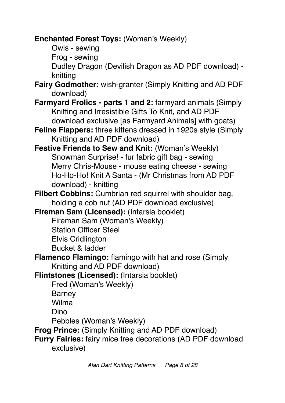**Enchanted Forest Toys:** (Woman's Weekly)

Owls - sewing

Frog - sewing

Dudley Dragon (Devilish Dragon as AD PDF download) knitting

**Fairy Godmother:** wish-granter (Simply Knitting and AD PDF download)

- **Farmyard Frolics parts 1 and 2:** farmyard animals (Simply Knitting and Irresistible Gifts To Knit, and AD PDF download exclusive [as Farmyard Animals] with goats)
- **Feline Flappers:** three kittens dressed in 1920s style (Simply Knitting and AD PDF download)
- **Festive Friends to Sew and Knit:** (Woman's Weekly) Snowman Surprise! - fur fabric gift bag - sewing Merry Chris-Mouse - mouse eating cheese - sewing Ho-Ho-Ho! Knit A Santa - (Mr Christmas from AD PDF download) - knitting
- **Filbert Cobbins:** Cumbrian red squirrel with shoulder bag, holding a cob nut (AD PDF download exclusive)
- **Fireman Sam (Licensed):** (Intarsia booklet)
	- Fireman Sam (Woman's Weekly)
	- Station Officer Steel
	- Elvis Cridlington
	- Bucket & ladder
- **Flamenco Flamingo:** flamingo with hat and rose (Simply Knitting and AD PDF download)

**Flintstones (Licensed):** (Intarsia booklet)

Fred (Woman's Weekly)

**Barney** Wilma

Dino

Pebbles (Woman's Weekly)

**Frog Prince:** (Simply Knitting and AD PDF download)

**Furry Fairies:** fairy mice tree decorations (AD PDF download exclusive)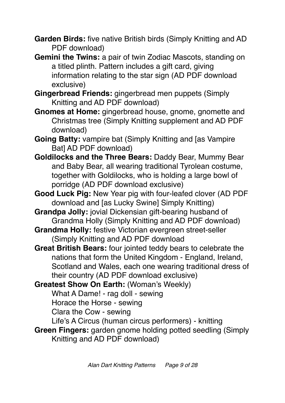**Garden Birds:** five native British birds (Simply Knitting and AD PDF download)

**Gemini the Twins:** a pair of twin Zodiac Mascots, standing on a titled plinth. Pattern includes a gift card, giving information relating to the star sign (AD PDF download exclusive)

**Gingerbread Friends:** gingerbread men puppets (Simply Knitting and AD PDF download)

**Gnomes at Home:** gingerbread house, gnome, gnomette and Christmas tree (Simply Knitting supplement and AD PDF download)

**Going Batty:** vampire bat (Simply Knitting and [as Vampire Bat] AD PDF download)

**Goldilocks and the Three Bears:** Daddy Bear, Mummy Bear and Baby Bear, all wearing traditional Tyrolean costume, together with Goldilocks, who is holding a large bowl of porridge (AD PDF download exclusive)

**Good Luck Pig:** New Year pig with four-leafed clover (AD PDF download and [as Lucky Swine] Simply Knitting)

**Grandpa Jolly:** jovial Dickensian gift-bearing husband of Grandma Holly (Simply Knitting and AD PDF download)

**Grandma Holly:** festive Victorian evergreen street-seller (Simply Knitting and AD PDF download

**Great British Bears:** four jointed teddy bears to celebrate the nations that form the United Kingdom - England, Ireland, Scotland and Wales, each one wearing traditional dress of their country (AD PDF download exclusive)

**Greatest Show On Earth:** (Woman's Weekly)

What A Dame! - rag doll - sewing

Horace the Horse - sewing

Clara the Cow - sewing

Life's A Circus (human circus performers) - knitting

**Green Fingers:** garden gnome holding potted seedling (Simply Knitting and AD PDF download)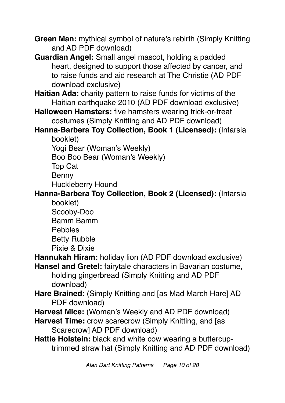- **Green Man:** mythical symbol of nature's rebirth (Simply Knitting and AD PDF download)
- **Guardian Angel:** Small angel mascot, holding a padded heart, designed to support those affected by cancer, and to raise funds and aid research at The Christie (AD PDF download exclusive)
- **Haitian Ada:** charity pattern to raise funds for victims of the Haitian earthquake 2010 (AD PDF download exclusive)
- **Halloween Hamsters:** five hamsters wearing trick-or-treat costumes (Simply Knitting and AD PDF download)
- **Hanna-Barbera Toy Collection, Book 1 (Licensed):** (Intarsia booklet)

Yogi Bear (Woman's Weekly)

Boo Boo Bear (Woman's Weekly)

Top Cat

Benny

Huckleberry Hound

#### **Hanna-Barbera Toy Collection, Book 2 (Licensed):** (Intarsia booklet)

Scooby-Doo Bamm Bamm Pebbles Betty Rubble

Pixie & Dixie

**Hannukah Hiram:** holiday lion (AD PDF download exclusive)

- **Hansel and Gretel:** fairytale characters in Bavarian costume, holding gingerbread (Simply Knitting and AD PDF download)
- **Hare Brained:** (Simply Knitting and [as Mad March Hare] AD PDF download)

**Harvest Mice:** (Woman's Weekly and AD PDF download)

- **Harvest Time:** crow scarecrow (Simply Knitting, and [as Scarecrow] AD PDF download)
- **Hattie Holstein:** black and white cow wearing a buttercuptrimmed straw hat (Simply Knitting and AD PDF download)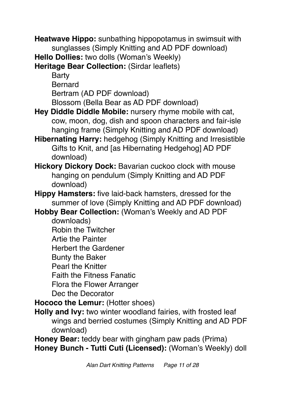**Heatwave Hippo:** sunbathing hippopotamus in swimsuit with sunglasses (Simply Knitting and AD PDF download)

**Hello Dollies:** two dolls (Woman's Weekly)

**Heritage Bear Collection:** (Sirdar leaflets)

**Barty** Bernard Bertram (AD PDF download) Blossom (Bella Bear as AD PDF download)

- **Hey Diddle Diddle Mobile:** nursery rhyme mobile with cat, cow, moon, dog, dish and spoon characters and fair-isle hanging frame (Simply Knitting and AD PDF download)
- **Hibernating Harry:** hedgehog (Simply Knitting and Irresistible Gifts to Knit, and [as Hibernating Hedgehog] AD PDF download)
- **Hickory Dickory Dock:** Bavarian cuckoo clock with mouse hanging on pendulum (Simply Knitting and AD PDF download)
- **Hippy Hamsters:** five laid-back hamsters, dressed for the summer of love (Simply Knitting and AD PDF download)

**Hobby Bear Collection:** (Woman's Weekly and AD PDF

downloads)

Robin the Twitcher

Artie the Painter

Herbert the Gardener

Bunty the Baker

Pearl the Knitter

Faith the Fitness Fanatic

Flora the Flower Arranger

Dec the Decorator

**Hococo the Lemur: (Hotter shoes)** 

**Holly and Ivy:** two winter woodland fairies, with frosted leaf wings and berried costumes (Simply Knitting and AD PDF download)

**Honey Bear:** teddy bear with gingham paw pads (Prima) **Honey Bunch - Tutti Cuti (Licensed):** (Woman's Weekly) doll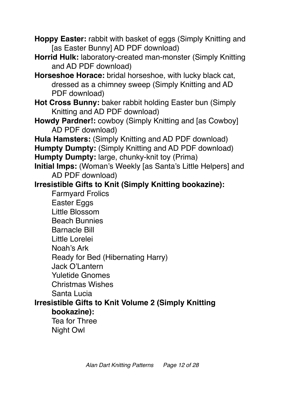**Hoppy Easter:** rabbit with basket of eggs (Simply Knitting and [as Easter Bunny] AD PDF download)

**Horrid Hulk:** laboratory-created man-monster (Simply Knitting and AD PDF download)

**Horseshoe Horace:** bridal horseshoe, with lucky black cat, dressed as a chimney sweep (Simply Knitting and AD PDF download)

**Hot Cross Bunny:** baker rabbit holding Easter bun (Simply Knitting and AD PDF download)

**Howdy Pardner!:** cowboy (Simply Knitting and [as Cowboy] AD PDF download)

**Hula Hamsters:** (Simply Knitting and AD PDF download) **Humpty Dumpty:** (Simply Knitting and AD PDF download)

**Humpty Dumpty:** large, chunky-knit toy (Prima)

**Initial Imps:** (Woman's Weekly [as Santa's Little Helpers] and AD PDF download)

## **Irresistible Gifts to Knit (Simply Knitting bookazine):**

Farmyard Frolics Easter Eggs Little Blossom Beach Bunnies Barnacle Bill Little Lorelei Noah's Ark Ready for Bed (Hibernating Harry) Jack O'Lantern Yuletide Gnomes Christmas Wishes Santa Lucia **Irresistible Gifts to Knit Volume 2 (Simply Knitting bookazine):**

Tea for Three Night Owl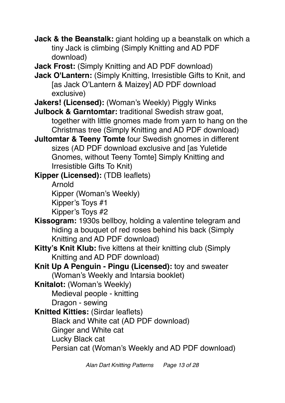- **Jack & the Beanstalk:** giant holding up a beanstalk on which a tiny Jack is climbing (Simply Knitting and AD PDF download)
- **Jack Frost:** (Simply Knitting and AD PDF download)
- **Jack O'Lantern:** (Simply Knitting, Irresistible Gifts to Knit, and [as Jack O'Lantern & Maizey] AD PDF download exclusive)
- **Jakers! (Licensed):** (Woman's Weekly) Piggly Winks
- **Julbock & Garntomtar:** traditional Swedish straw goat, together with little gnomes made from yarn to hang on the Christmas tree (Simply Knitting and AD PDF download)
- **Jultomtar & Teeny Tomte** four Swedish gnomes in different sizes (AD PDF download exclusive and [as Yuletide Gnomes, without Teeny Tomte] Simply Knitting and Irresistible Gifts To Knit)
- **Kipper (Licensed):** (TDB leaflets) Arnold Kipper (Woman's Weekly) Kipper's Toys #1 Kipper's Toys #2
- **Kissogram:** 1930s bellboy, holding a valentine telegram and hiding a bouquet of red roses behind his back (Simply Knitting and AD PDF download)
- **Kitty's Knit Klub:** five kittens at their knitting club (Simply Knitting and AD PDF download)
- **Knit Up A Penguin Pingu (Licensed):** toy and sweater (Woman's Weekly and Intarsia booklet)
- **Knitalot:** (Woman's Weekly)
	- Medieval people knitting
	- Dragon sewing
- **Knitted Kitties:** (Sirdar leaflets)
	- Black and White cat (AD PDF download)
	- Ginger and White cat
	- Lucky Black cat
	- Persian cat (Woman's Weekly and AD PDF download)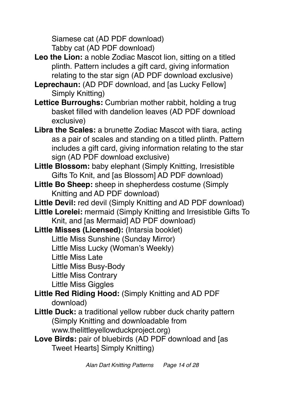Siamese cat (AD PDF download) Tabby cat (AD PDF download)

- Leo the Lion: a noble Zodiac Mascot lion, sitting on a titled plinth. Pattern includes a gift card, giving information relating to the star sign (AD PDF download exclusive)
- **Leprechaun:** (AD PDF download, and [as Lucky Fellow] Simply Knitting)
- **Lettice Burroughs:** Cumbrian mother rabbit, holding a trug basket filled with dandelion leaves (AD PDF download exclusive)
- **Libra the Scales:** a brunette Zodiac Mascot with tiara, acting as a pair of scales and standing on a titled plinth. Pattern includes a gift card, giving information relating to the star sign (AD PDF download exclusive)
- **Little Blossom:** baby elephant (Simply Knitting, Irresistible Gifts To Knit, and [as Blossom] AD PDF download)
- **Little Bo Sheep:** sheep in shepherdess costume (Simply Knitting and AD PDF download)
- Little Devil: red devil (Simply Knitting and AD PDF download)
- **Little Lorelei:** mermaid (Simply Knitting and Irresistible Gifts To Knit, and [as Mermaid] AD PDF download)
- **Little Misses (Licensed):** (Intarsia booklet)
	- Little Miss Sunshine (Sunday Mirror)
	- Little Miss Lucky (Woman's Weekly)
	- Little Miss Late
	- Little Miss Busy-Body
	- Little Miss Contrary
	- Little Miss Giggles
- **Little Red Riding Hood:** (Simply Knitting and AD PDF download)
- **Little Duck:** a traditional yellow rubber duck charity pattern (Simply Knitting and downloadable from www.thelittleyellowduckproject.org)
- **Love Birds:** pair of bluebirds (AD PDF download and [as Tweet Hearts] Simply Knitting)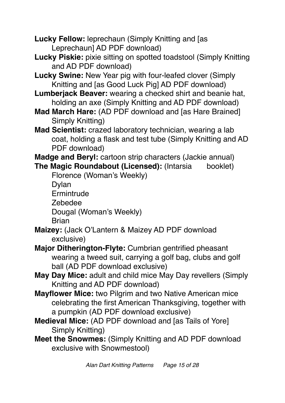**Lucky Fellow:** leprechaun (Simply Knitting and [as Leprechaun] AD PDF download)

- **Lucky Piskie:** pixie sitting on spotted toadstool (Simply Knitting and AD PDF download)
- **Lucky Swine:** New Year pig with four-leafed clover (Simply Knitting and [as Good Luck Pig] AD PDF download)
- **Lumberjack Beaver:** wearing a checked shirt and beanie hat, holding an axe (Simply Knitting and AD PDF download)
- **Mad March Hare:** (AD PDF download and [as Hare Brained] Simply Knitting)
- **Mad Scientist:** crazed laboratory technician, wearing a lab coat, holding a flask and test tube (Simply Knitting and AD PDF download)

**Madge and Beryl:** cartoon strip characters (Jackie annual)

**The Magic Roundabout (Licensed):** (Intarsia booklet)

Florence (Woman's Weekly)

Dylan

**Ermintrude** 

Zebedee

Dougal (Woman's Weekly)

**Brian** 

- **Maizey:** (Jack O'Lantern & Maizey AD PDF download exclusive)
- **Major Ditherington-Flyte:** Cumbrian gentrified pheasant wearing a tweed suit, carrying a golf bag, clubs and golf ball (AD PDF download exclusive)
- **May Day Mice:** adult and child mice May Day revellers (Simply Knitting and AD PDF download)
- **Mayflower Mice:** two Pilgrim and two Native American mice celebrating the first American Thanksgiving, together with a pumpkin (AD PDF download exclusive)
- **Medieval Mice:** (AD PDF download and [as Tails of Yore] Simply Knitting)
- **Meet the Snowmes:** (Simply Knitting and AD PDF download exclusive with Snowmestool)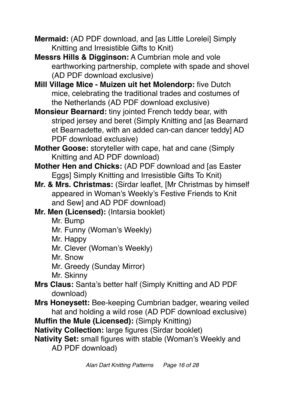**Mermaid:** (AD PDF download, and [as Little Lorelei] Simply Knitting and Irresistible Gifts to Knit)

**Messrs Hills & Digginson:** A Cumbrian mole and vole earthworking partnership, complete with spade and shovel (AD PDF download exclusive)

**Mill Village Mice - Muizen uit het Molendorp:** five Dutch mice, celebrating the traditional trades and costumes of the Netherlands (AD PDF download exclusive)

**Monsieur Bearnard:** tiny jointed French teddy bear, with striped jersey and beret (Simply Knitting and [as Bearnard et Bearnadette, with an added can-can dancer teddy] AD PDF download exclusive)

**Mother Goose:** storyteller with cape, hat and cane (Simply Knitting and AD PDF download)

**Mother Hen and Chicks:** (AD PDF download and [as Easter Eggs] Simply Knitting and Irresistible Gifts To Knit)

- **Mr. & Mrs. Christmas:** (Sirdar leaflet, [Mr Christmas by himself appeared in Woman's Weekly's Festive Friends to Knit and Sew] and AD PDF download)
- **Mr. Men (Licensed):** (Intarsia booklet)
	- Mr. Bump
	- Mr. Funny (Woman's Weekly)
	- Mr. Happy
	- Mr. Clever (Woman's Weekly)
	- Mr. Snow
	- Mr. Greedy (Sunday Mirror)

Mr. Skinny

- **Mrs Claus:** Santa's better half (Simply Knitting and AD PDF download)
- **Mrs Honeysett:** Bee-keeping Cumbrian badger, wearing veiled hat and holding a wild rose (AD PDF download exclusive)
- **Muffin the Mule (Licensed):** (Simply Knitting)

**Nativity Collection:** large figures (Sirdar booklet)

**Nativity Set:** small figures with stable (Woman's Weekly and AD PDF download)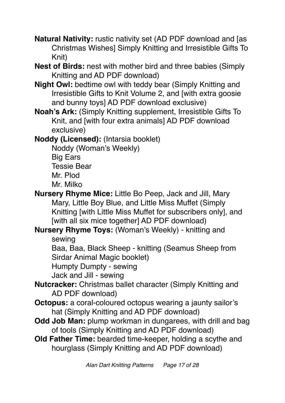**Natural Nativity:** rustic nativity set (AD PDF download and [as Christmas Wishes] Simply Knitting and Irresistible Gifts To Knit)

**Nest of Birds:** nest with mother bird and three babies (Simply Knitting and AD PDF download)

**Night Owl:** bedtime owl with teddy bear (Simply Knitting and Irresistible Gifts to Knit Volume 2, and [with extra goosie and bunny toys] AD PDF download exclusive)

**Noah's Ark:** (Simply Knitting supplement, Irresistible Gifts To Knit, and [with four extra animals] AD PDF download exclusive)

**Noddy (Licensed):** (Intarsia booklet)

Noddy (Woman's Weekly)

Big Ears Tessie Bear

Mr. Plod

Mr. Milko

**Nursery Rhyme Mice:** Little Bo Peep, Jack and Jill, Mary Mary, Little Boy Blue, and Little Miss Muffet (Simply Knitting [with Little Miss Muffet for subscribers only], and [with all six mice together] AD PDF download)

### **Nursery Rhyme Toys:** (Woman's Weekly) - knitting and sewing

Baa, Baa, Black Sheep - knitting (Seamus Sheep from Sirdar Animal Magic booklet)

Humpty Dumpty - sewing

Jack and Jill - sewing

**Nutcracker:** Christmas ballet character (Simply Knitting and AD PDF download)

- **Octopus:** a coral-coloured octopus wearing a jaunty sailor's hat (Simply Knitting and AD PDF download)
- **Odd Job Man:** plump workman in dungarees, with drill and bag of tools (Simply Knitting and AD PDF download)
- **Old Father Time:** bearded time-keeper, holding a scythe and hourglass (Simply Knitting and AD PDF download)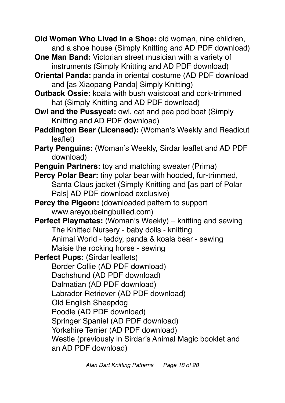**Old Woman Who Lived in a Shoe:** old woman, nine children, and a shoe house (Simply Knitting and AD PDF download)

- **One Man Band:** Victorian street musician with a variety of instruments (Simply Knitting and AD PDF download)
- **Oriental Panda:** panda in oriental costume (AD PDF download and [as Xiaopang Panda] Simply Knitting)
- **Outback Ossie:** koala with bush waistcoat and cork-trimmed hat (Simply Knitting and AD PDF download)
- **Owl and the Pussycat:** owl, cat and pea pod boat (Simply Knitting and AD PDF download)
- **Paddington Bear (Licensed):** (Woman's Weekly and Readicut leaflet)
- **Party Penguins:** (Woman's Weekly, Sirdar leaflet and AD PDF download)
- **Penguin Partners:** toy and matching sweater (Prima)
- **Percy Polar Bear:** tiny polar bear with hooded, fur-trimmed, Santa Claus jacket (Simply Knitting and [as part of Polar Pals] AD PDF download exclusive)

**Percy the Pigeon:** (downloaded pattern to support www.areyoubeingbullied.com)

- **Perfect Playmates:** (Woman's Weekly) knitting and sewing The Knitted Nursery - baby dolls - knitting Animal World - teddy, panda & koala bear - sewing Maisie the rocking horse - sewing
- **Perfect Pups: (Sirdar leaflets)**

Border Collie (AD PDF download)

- Dachshund (AD PDF download)
- Dalmatian (AD PDF download)

Labrador Retriever (AD PDF download)

- Old English Sheepdog
- Poodle (AD PDF download)

Springer Spaniel (AD PDF download)

Yorkshire Terrier (AD PDF download)

Westie (previously in Sirdar's Animal Magic booklet and an AD PDF download)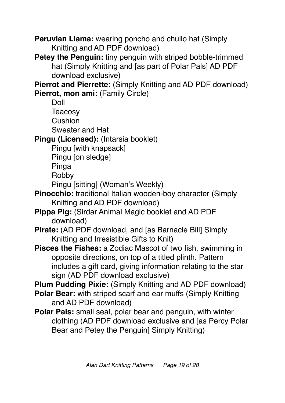**Peruvian Llama:** wearing poncho and chullo hat (Simply Knitting and AD PDF download)

**Petey the Penguin:** tiny penguin with striped bobble-trimmed hat (Simply Knitting and [as part of Polar Pals] AD PDF download exclusive)

**Pierrot and Pierrette:** (Simply Knitting and AD PDF download) **Pierrot, mon ami:** (Family Circle)

Doll

**Teacosy** 

Cushion

Sweater and Hat

**Pingu (Licensed):** (Intarsia booklet)

Pingu [with knapsack]

Pingu [on sledge]

Pinga

Robby

Pingu [sitting] (Woman's Weekly)

- **Pinocchio:** traditional Italian wooden-boy character (Simply Knitting and AD PDF download)
- **Pippa Pig:** (Sirdar Animal Magic booklet and AD PDF download)
- **Pirate:** (AD PDF download, and [as Barnacle Bill] Simply Knitting and Irresistible Gifts to Knit)
- **Pisces the Fishes:** a Zodiac Mascot of two fish, swimming in opposite directions, on top of a titled plinth. Pattern includes a gift card, giving information relating to the star sign (AD PDF download exclusive)

**Plum Pudding Pixie:** (Simply Knitting and AD PDF download)

- **Polar Bear:** with striped scarf and ear muffs (Simply Knitting and AD PDF download)
- **Polar Pals:** small seal, polar bear and penguin, with winter clothing (AD PDF download exclusive and [as Percy Polar Bear and Petey the Penguin] Simply Knitting)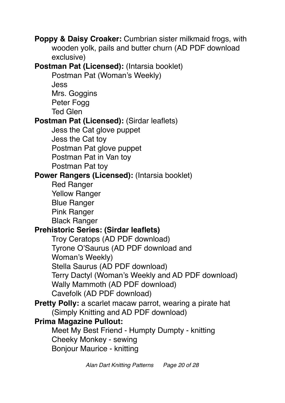**Poppy & Daisy Croaker:** Cumbrian sister milkmaid frogs, with wooden yolk, pails and butter churn (AD PDF download exclusive) **Postman Pat (Licensed): (Intarsia booklet)** Postman Pat (Woman's Weekly) Jess Mrs. Goggins Peter Fogg Ted Glen **Postman Pat (Licensed): (Sirdar leaflets)** Jess the Cat glove puppet Jess the Cat toy Postman Pat glove puppet Postman Pat in Van toy Postman Pat toy **Power Rangers (Licensed):** (Intarsia booklet) Red Ranger Yellow Ranger Blue Ranger Pink Ranger Black Ranger **Prehistoric Series: (Sirdar leaflets)** Troy Ceratops (AD PDF download) Tyrone O'Saurus (AD PDF download and Woman's Weekly) Stella Saurus (AD PDF download) Terry Dactyl (Woman's Weekly and AD PDF download) Wally Mammoth (AD PDF download) Cavefolk (AD PDF download) **Pretty Polly:** a scarlet macaw parrot, wearing a pirate hat (Simply Knitting and AD PDF download) **Prima Magazine Pullout:** Meet My Best Friend - Humpty Dumpty - knitting Cheeky Monkey - sewing Bonjour Maurice - knitting

*Alan Dart Knitting Patterns Page 20 of 28*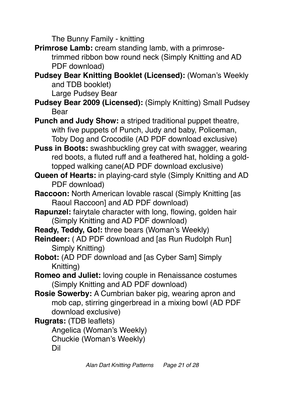The Bunny Family - knitting

**Primrose Lamb:** cream standing lamb, with a primrosetrimmed ribbon bow round neck (Simply Knitting and AD PDF download)

**Pudsey Bear Knitting Booklet (Licensed):** (Woman's Weekly and TDB booklet)

Large Pudsey Bear

**Pudsey Bear 2009 (Licensed):** (Simply Knitting) Small Pudsey Bear

**Punch and Judy Show:** a striped traditional puppet theatre, with five puppets of Punch, Judy and baby, Policeman, Toby Dog and Crocodile (AD PDF download exclusive)

**Puss in Boots:** swashbuckling grey cat with swagger, wearing red boots, a fluted ruff and a feathered hat, holding a goldtopped walking cane(AD PDF download exclusive)

- **Queen of Hearts:** in playing-card style (Simply Knitting and AD PDF download)
- **Raccoon:** North American lovable rascal (Simply Knitting [as Raoul Raccoon] and AD PDF download)
- **Rapunzel:** fairytale character with long, flowing, golden hair (Simply Knitting and AD PDF download)

**Ready, Teddy, Go!:** three bears (Woman's Weekly)

- **Reindeer:** ( AD PDF download and [as Run Rudolph Run] Simply Knitting)
- **Robot:** (AD PDF download and [as Cyber Sam] Simply Knitting)
- **Romeo and Juliet:** loving couple in Renaissance costumes (Simply Knitting and AD PDF download)
- **Rosie Sowerby:** A Cumbrian baker pig, wearing apron and mob cap, stirring gingerbread in a mixing bowl (AD PDF download exclusive)

**Rugrats:** (TDB leaflets) Angelica (Woman's Weekly) Chuckie (Woman's Weekly) Dil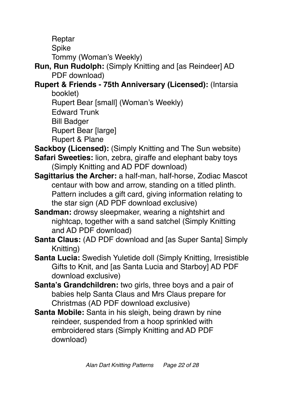Reptar

Spike

Tommy (Woman's Weekly)

**Run, Run Rudolph:** (Simply Knitting and [as Reindeer] AD PDF download)

**Rupert & Friends - 75th Anniversary (Licensed):** (Intarsia booklet)

Rupert Bear [small] (Woman's Weekly)

Edward Trunk

Bill Badger

Rupert Bear [large]

Rupert & Plane

**Sackboy (Licensed):** (Simply Knitting and The Sun website)

- **Safari Sweeties:** lion, zebra, giraffe and elephant baby toys (Simply Knitting and AD PDF download)
- **Sagittarius the Archer:** a half-man, half-horse, Zodiac Mascot centaur with bow and arrow, standing on a titled plinth. Pattern includes a gift card, giving information relating to the star sign (AD PDF download exclusive)
- **Sandman:** drowsy sleepmaker, wearing a nightshirt and nightcap, together with a sand satchel (Simply Knitting and AD PDF download)
- **Santa Claus:** (AD PDF download and [as Super Santa] Simply Knitting)
- **Santa Lucia:** Swedish Yuletide doll (Simply Knitting, Irresistible Gifts to Knit, and [as Santa Lucia and Starboy] AD PDF download exclusive)
- **Santa's Grandchildren:** two girls, three boys and a pair of babies help Santa Claus and Mrs Claus prepare for Christmas (AD PDF download exclusive)
- **Santa Mobile:** Santa in his sleigh, being drawn by nine reindeer, suspended from a hoop sprinkled with embroidered stars (Simply Knitting and AD PDF download)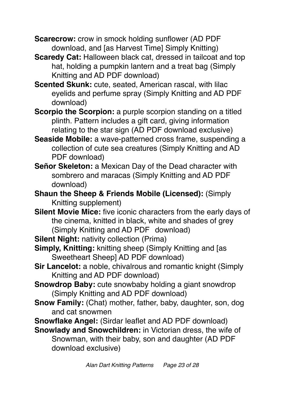**Scarecrow:** crow in smock holding sunflower (AD PDF download, and [as Harvest Time] Simply Knitting)

- **Scaredy Cat:** Halloween black cat, dressed in tailcoat and top hat, holding a pumpkin lantern and a treat bag (Simply Knitting and AD PDF download)
- **Scented Skunk:** cute, seated, American rascal, with lilac eyelids and perfume spray (Simply Knitting and AD PDF download)
- **Scorpio the Scorpion:** a purple scorpion standing on a titled plinth. Pattern includes a gift card, giving information relating to the star sign (AD PDF download exclusive)
- **Seaside Mobile:** a wave-patterned cross frame, suspending a collection of cute sea creatures (Simply Knitting and AD PDF download)
- **Señor Skeleton:** a Mexican Day of the Dead character with sombrero and maracas (Simply Knitting and AD PDF download)
- **Shaun the Sheep & Friends Mobile (Licensed):** (Simply Knitting supplement)
- **Silent Movie Mice:** five iconic characters from the early days of the cinema, knitted in black, white and shades of grey (Simply Knitting and AD PDF download)
- **Silent Night:** nativity collection (Prima)
- **Simply, Knitting:** knitting sheep (Simply Knitting and [as Sweetheart Sheep] AD PDF download)
- **Sir Lancelot:** a noble, chivalrous and romantic knight (Simply Knitting and AD PDF download)
- **Snowdrop Baby:** cute snowbaby holding a giant snowdrop (Simply Knitting and AD PDF download)
- **Snow Family:** (Chat) mother, father, baby, daughter, son, dog and cat snowmen
- **Snowflake Angel:** (Sirdar leaflet and AD PDF download)
- **Snowlady and Snowchildren:** in Victorian dress, the wife of Snowman, with their baby, son and daughter (AD PDF download exclusive)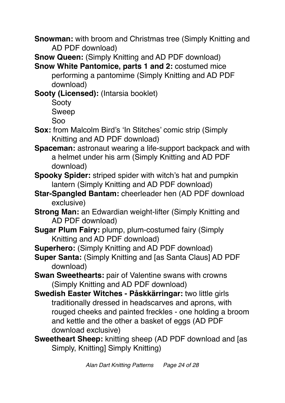**Snowman:** with broom and Christmas tree (Simply Knitting and AD PDF download)

**Snow Queen:** (Simply Knitting and AD PDF download)

**Snow White Pantomice, parts 1 and 2:** costumed mice performing a pantomime (Simply Knitting and AD PDF download)

**Sooty (Licensed):** (Intarsia booklet)

Sooty Sweep Soo

- **Sox:** from Malcolm Bird's 'In Stitches' comic strip (Simply Knitting and AD PDF download)
- **Spaceman:** astronaut wearing a life-support backpack and with a helmet under his arm (Simply Knitting and AD PDF download)
- **Spooky Spider:** striped spider with witch's hat and pumpkin lantern (Simply Knitting and AD PDF download)
- **Star-Spangled Bantam:** cheerleader hen (AD PDF download exclusive)
- **Strong Man:** an Edwardian weight-lifter (Simply Knitting and AD PDF download)
- **Sugar Plum Fairy:** plump, plum-costumed fairy (Simply) Knitting and AD PDF download)
- **Superhero:** (Simply Knitting and AD PDF download)
- **Super Santa:** (Simply Knitting and [as Santa Claus] AD PDF download)
- **Swan Sweethearts:** pair of Valentine swans with crowns (Simply Knitting and AD PDF download)
- **Swedish Easter Witches Påskkärringar:** two little girls traditionally dressed in headscarves and aprons, with rouged cheeks and painted freckles - one holding a broom and kettle and the other a basket of eggs (AD PDF download exclusive)
- **Sweetheart Sheep:** knitting sheep (AD PDF download and [as Simply, Knitting] Simply Knitting)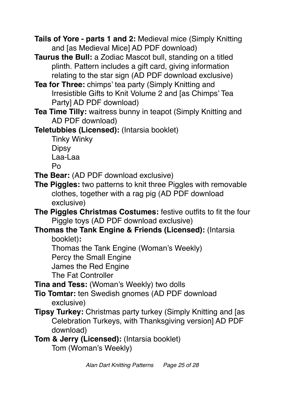**Tails of Yore - parts 1 and 2:** Medieval mice (Simply Knitting and [as Medieval Mice] AD PDF download)

**Taurus the Bull:** a Zodiac Mascot bull, standing on a titled plinth. Pattern includes a gift card, giving information relating to the star sign (AD PDF download exclusive)

**Tea for Three:** chimps' tea party (Simply Knitting and Irresistible Gifts to Knit Volume 2 and [as Chimps' Tea Party] AD PDF download)

**Tea Time Tilly:** waitress bunny in teapot (Simply Knitting and AD PDF download)

**Teletubbies (Licensed):** (Intarsia booklet)

Tinky Winky **Dipsy** Laa-Laa Po

**The Bear:** (AD PDF download exclusive)

- **The Piggles:** two patterns to knit three Piggles with removable clothes, together with a rag pig (AD PDF download exclusive)
- **The Piggles Christmas Costumes:** festive outfits to fit the four Piggle toys (AD PDF download exclusive)
- **Thomas the Tank Engine & Friends (Licensed):** (Intarsia booklet)**:**
	- Thomas the Tank Engine (Woman's Weekly)

Percy the Small Engine

James the Red Engine

The Fat Controller

**Tina and Tess:** (Woman's Weekly) two dolls

**Tio Tomtar:** ten Swedish gnomes (AD PDF download exclusive)

- **Tipsy Turkey:** Christmas party turkey (Simply Knitting and [as Celebration Turkeys, with Thanksgiving version] AD PDF download)
- **Tom & Jerry (Licensed):** (Intarsia booklet) Tom (Woman's Weekly)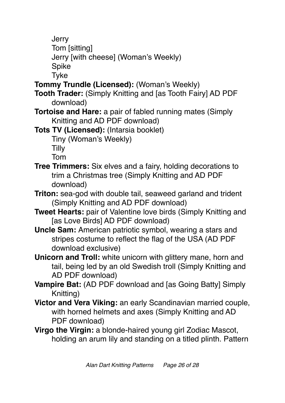**Jerry** 

Tom [sitting]

Jerry [with cheese] (Woman's Weekly)

Spike

Tyke

- **Tommy Trundle (Licensed):** (Woman's Weekly)
- **Tooth Trader:** (Simply Knitting and [as Tooth Fairy] AD PDF download)
- **Tortoise and Hare:** a pair of fabled running mates (Simply Knitting and AD PDF download)

**Tots TV (Licensed):** (Intarsia booklet) Tiny (Woman's Weekly)

Tilly

Tom

- **Tree Trimmers:** Six elves and a fairy, holding decorations to trim a Christmas tree (Simply Knitting and AD PDF download)
- **Triton:** sea-god with double tail, seaweed garland and trident (Simply Knitting and AD PDF download)
- **Tweet Hearts:** pair of Valentine love birds (Simply Knitting and [as Love Birds] AD PDF download)
- **Uncle Sam:** American patriotic symbol, wearing a stars and stripes costume to reflect the flag of the USA (AD PDF download exclusive)
- **Unicorn and Troll:** white unicorn with glittery mane, horn and tail, being led by an old Swedish troll (Simply Knitting and AD PDF download)
- **Vampire Bat:** (AD PDF download and [as Going Batty] Simply Knitting)
- **Victor and Vera Viking:** an early Scandinavian married couple, with horned helmets and axes (Simply Knitting and AD PDF download)
- **Virgo the Virgin:** a blonde-haired young girl Zodiac Mascot, holding an arum lily and standing on a titled plinth. Pattern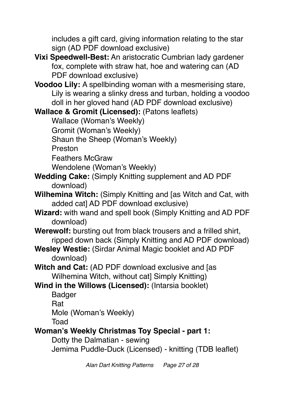includes a gift card, giving information relating to the star sign (AD PDF download exclusive)

- **Vixi Speedwell-Best:** An aristocratic Cumbrian lady gardener fox, complete with straw hat, hoe and watering can (AD PDF download exclusive)
- **Voodoo Lily:** A spellbinding woman with a mesmerising stare, Lily is wearing a slinky dress and turban, holding a voodoo doll in her gloved hand (AD PDF download exclusive)

**Wallace & Gromit (Licensed):** (Patons leaflets)

Wallace (Woman's Weekly)

Gromit (Woman's Weekly)

Shaun the Sheep (Woman's Weekly)

Preston

Feathers McGraw

Wendolene (Woman's Weekly)

- **Wedding Cake:** (Simply Knitting supplement and AD PDF download)
- **Wilhemina Witch:** (Simply Knitting and [as Witch and Cat, with added cat] AD PDF download exclusive)
- **Wizard:** with wand and spell book (Simply Knitting and AD PDF download)
- **Werewolf:** bursting out from black trousers and a frilled shirt, ripped down back (Simply Knitting and AD PDF download)
- **Wesley Westie:** (Sirdar Animal Magic booklet and AD PDF download)
- **Witch and Cat:** (AD PDF download exclusive and [as Wilhemina Witch, without cat] Simply Knitting)

**Wind in the Willows (Licensed):** (Intarsia booklet)

Badger

Rat

Mole (Woman's Weekly)

Toad

## **Woman's Weekly Christmas Toy Special - part 1:**

Dotty the Dalmatian - sewing

Jemima Puddle-Duck (Licensed) - knitting (TDB leaflet)